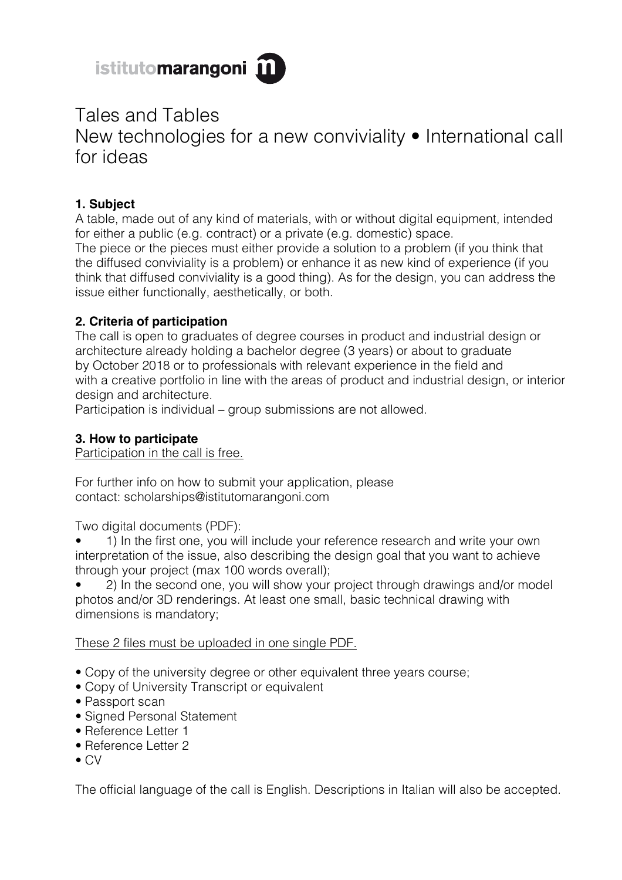

# Tales and Tables New technologies for a new conviviality • International call for ideas

# **1. Subject**

A table, made out of any kind of materials, with or without digital equipment, intended for either a public (e.g. contract) or a private (e.g. domestic) space. The piece or the pieces must either provide a solution to a problem (if you think that the diffused conviviality is a problem) or enhance it as new kind of experience (if you think that diffused conviviality is a good thing). As for the design, you can address the issue either functionally, aesthetically, or both.

# **2. Criteria of participation**

The call is open to graduates of degree courses in product and industrial design or architecture already holding a bachelor degree (3 years) or about to graduate by October 2018 or to professionals with relevant experience in the field and with a creative portfolio in line with the areas of product and industrial design, or interior design and architecture.

Participation is individual – group submissions are not allowed.

# **3. How to participate**

Participation in the call is free.

For further info on how to submit your application, please contact: scholarships@istitutomarangoni.com

Two digital documents (PDF):

• 1) In the first one, you will include your reference research and write your own interpretation of the issue, also describing the design goal that you want to achieve through your project (max 100 words overall);

• 2) In the second one, you will show your project through drawings and/or model photos and/or 3D renderings. At least one small, basic technical drawing with dimensions is mandatory;

These 2 files must be uploaded in one single PDF.

- Copy of the university degree or other equivalent three years course;
- Copy of University Transcript or equivalent
- Passport scan
- Signed Personal Statement
- Reference Letter 1
- Reference Letter 2
- $\bullet$  CV

The official language of the call is English. Descriptions in Italian will also be accepted.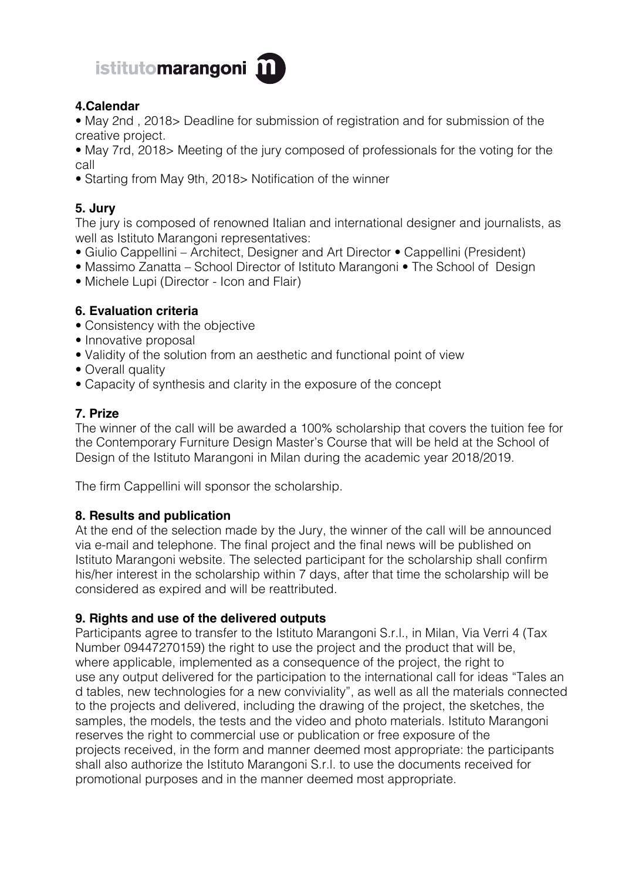

## **4.Calendar**

• May 2nd , 2018> Deadline for submission of registration and for submission of the creative project.

- May 7rd, 2018> Meeting of the jury composed of professionals for the voting for the call
- Starting from May 9th, 2018> Notification of the winner

# **5. Jury**

The jury is composed of renowned Italian and international designer and journalists, as well as Istituto Marangoni representatives:

- Giulio Cappellini Architect, Designer and Art Director Cappellini (President)
- Massimo Zanatta School Director of Istituto Marangoni The School of Design
- Michele Lupi (Director Icon and Flair)

### **6. Evaluation criteria**

- Consistency with the objective
- Innovative proposal
- Validity of the solution from an aesthetic and functional point of view
- Overall quality
- Capacity of synthesis and clarity in the exposure of the concept

### **7. Prize**

The winner of the call will be awarded a 100% scholarship that covers the tuition fee for the Contemporary Furniture Design Master's Course that will be held at the School of Design of the Istituto Marangoni in Milan during the academic year 2018/2019.

The firm Cappellini will sponsor the scholarship.

### **8. Results and publication**

At the end of the selection made by the Jury, the winner of the call will be announced via e-mail and telephone. The final project and the final news will be published on Istituto Marangoni website. The selected participant for the scholarship shall confirm his/her interest in the scholarship within 7 days, after that time the scholarship will be considered as expired and will be reattributed.

#### **9. Rights and use of the delivered outputs**

Participants agree to transfer to the Istituto Marangoni S.r.l., in Milan, Via Verri 4 (Tax Number 09447270159) the right to use the project and the product that will be, where applicable, implemented as a consequence of the project, the right to use any output delivered for the participation to the international call for ideas "Tales an d tables, new technologies for a new conviviality", as well as all the materials connected to the projects and delivered, including the drawing of the project, the sketches, the samples, the models, the tests and the video and photo materials. Istituto Marangoni reserves the right to commercial use or publication or free exposure of the projects received, in the form and manner deemed most appropriate: the participants shall also authorize the Istituto Marangoni S.r.l. to use the documents received for promotional purposes and in the manner deemed most appropriate.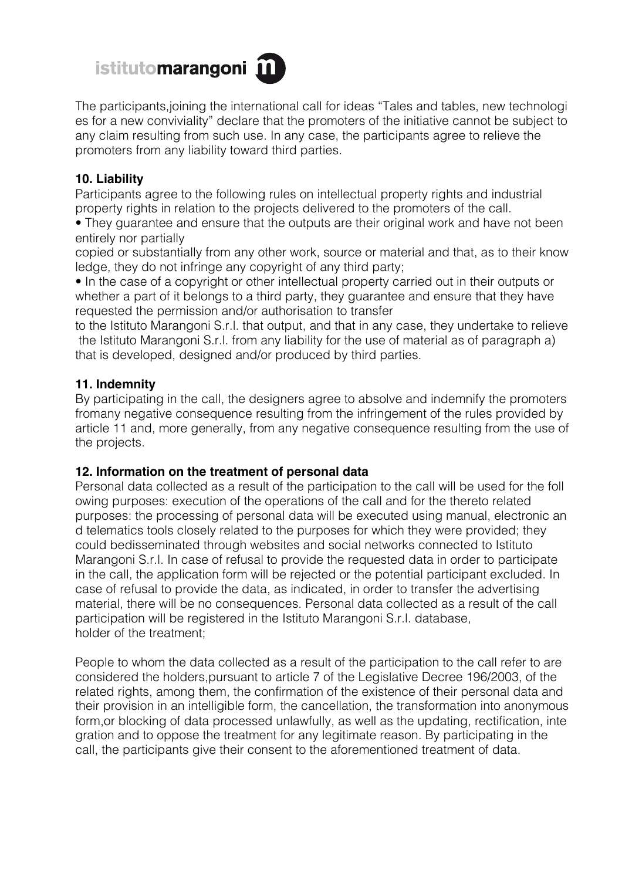

The participants,joining the international call for ideas "Tales and tables, new technologi es for a new conviviality" declare that the promoters of the initiative cannot be subject to any claim resulting from such use. In any case, the participants agree to relieve the promoters from any liability toward third parties.

#### **10. Liability**

Participants agree to the following rules on intellectual property rights and industrial property rights in relation to the projects delivered to the promoters of the call.

• They guarantee and ensure that the outputs are their original work and have not been entirely nor partially

copied or substantially from any other work, source or material and that, as to their know ledge, they do not infringe any copyright of any third party;

• In the case of a copyright or other intellectual property carried out in their outputs or whether a part of it belongs to a third party, they guarantee and ensure that they have requested the permission and/or authorisation to transfer

to the Istituto Marangoni S.r.l. that output, and that in any case, they undertake to relieve the Istituto Marangoni S.r.l. from any liability for the use of material as of paragraph a) that is developed, designed and/or produced by third parties.

#### **11. Indemnity**

By participating in the call, the designers agree to absolve and indemnify the promoters fromany negative consequence resulting from the infringement of the rules provided by article 11 and, more generally, from any negative consequence resulting from the use of the projects.

#### **12. Information on the treatment of personal data**

Personal data collected as a result of the participation to the call will be used for the foll owing purposes: execution of the operations of the call and for the thereto related purposes: the processing of personal data will be executed using manual, electronic an d telematics tools closely related to the purposes for which they were provided; they could bedisseminated through websites and social networks connected to Istituto Marangoni S.r.l. In case of refusal to provide the requested data in order to participate in the call, the application form will be rejected or the potential participant excluded. In case of refusal to provide the data, as indicated, in order to transfer the advertising material, there will be no consequences. Personal data collected as a result of the call participation will be registered in the Istituto Marangoni S.r.l. database, holder of the treatment;

People to whom the data collected as a result of the participation to the call refer to are considered the holders,pursuant to article 7 of the Legislative Decree 196/2003, of the related rights, among them, the confirmation of the existence of their personal data and their provision in an intelligible form, the cancellation, the transformation into anonymous form,or blocking of data processed unlawfully, as well as the updating, rectification, inte gration and to oppose the treatment for any legitimate reason. By participating in the call, the participants give their consent to the aforementioned treatment of data.